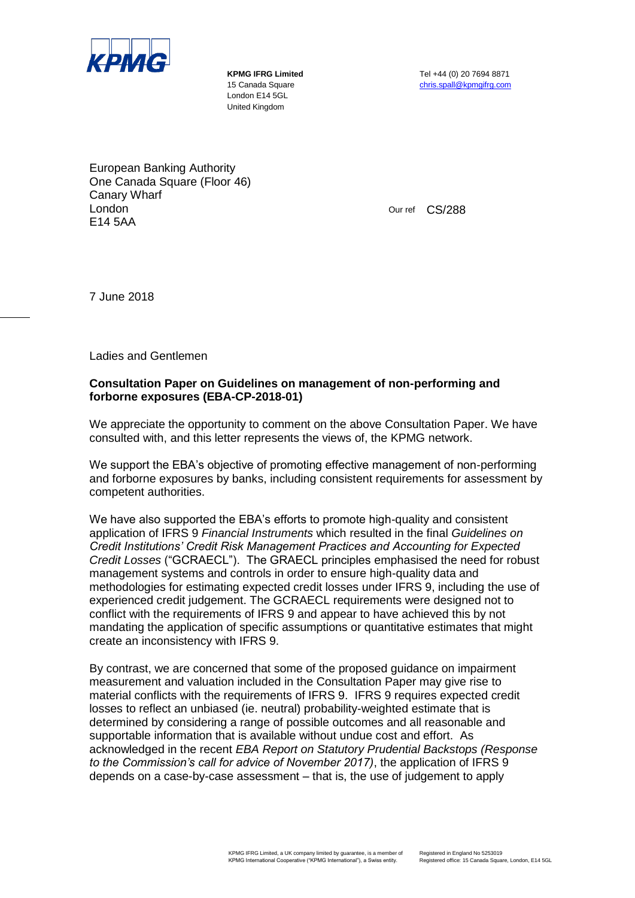

London E14 5GL United Kingdom

**KPMG IFRG Limited** Tel +44 (0) 20 7694 8871 15 Canada Square christened christspall@kpmgifrg.com

European Banking Authority One Canada Square (Floor 46) Canary Wharf London E14 5AA

Our ref CS/288

7 June 2018

Ladies and Gentlemen

## **Consultation Paper on Guidelines on management of non-performing and forborne exposures (EBA-CP-2018-01)**

We appreciate the opportunity to comment on the above Consultation Paper. We have consulted with, and this letter represents the views of, the KPMG network.

We support the EBA's objective of promoting effective management of non-performing and forborne exposures by banks, including consistent requirements for assessment by competent authorities.

We have also supported the EBA's efforts to promote high-quality and consistent application of IFRS 9 *Financial Instruments* which resulted in the final *Guidelines on Credit Institutions' Credit Risk Management Practices and Accounting for Expected Credit Losses* ("GCRAECL"). The GRAECL principles emphasised the need for robust management systems and controls in order to ensure high-quality data and methodologies for estimating expected credit losses under IFRS 9, including the use of experienced credit judgement. The GCRAECL requirements were designed not to conflict with the requirements of IFRS 9 and appear to have achieved this by not mandating the application of specific assumptions or quantitative estimates that might create an inconsistency with IFRS 9.

By contrast, we are concerned that some of the proposed guidance on impairment measurement and valuation included in the Consultation Paper may give rise to material conflicts with the requirements of IFRS 9. IFRS 9 requires expected credit losses to reflect an unbiased (ie. neutral) probability-weighted estimate that is determined by considering a range of possible outcomes and all reasonable and supportable information that is available without undue cost and effort. As acknowledged in the recent *EBA Report on Statutory Prudential Backstops (Response to the Commission's call for advice of November 2017)*, the application of IFRS 9 depends on a case-by-case assessment – that is, the use of judgement to apply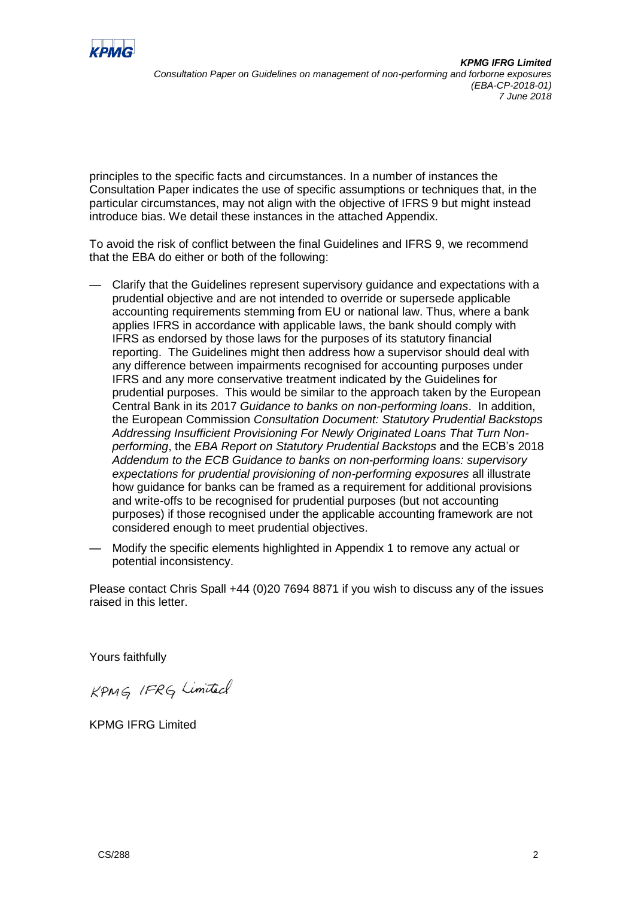

principles to the specific facts and circumstances. In a number of instances the Consultation Paper indicates the use of specific assumptions or techniques that, in the particular circumstances, may not align with the objective of IFRS 9 but might instead introduce bias. We detail these instances in the attached Appendix.

To avoid the risk of conflict between the final Guidelines and IFRS 9, we recommend that the EBA do either or both of the following:

- Clarify that the Guidelines represent supervisory guidance and expectations with a prudential objective and are not intended to override or supersede applicable accounting requirements stemming from EU or national law. Thus, where a bank applies IFRS in accordance with applicable laws, the bank should comply with IFRS as endorsed by those laws for the purposes of its statutory financial reporting. The Guidelines might then address how a supervisor should deal with any difference between impairments recognised for accounting purposes under IFRS and any more conservative treatment indicated by the Guidelines for prudential purposes. This would be similar to the approach taken by the European Central Bank in its 2017 *Guidance to banks on non-performing loans*. In addition, the European Commission *Consultation Document: Statutory Prudential Backstops Addressing Insufficient Provisioning For Newly Originated Loans That Turn Nonperforming*, the *EBA Report on Statutory Prudential Backstops* and the ECB's 2018 *Addendum to the ECB Guidance to banks on non-performing loans: supervisory expectations for prudential provisioning of non-performing exposures* all illustrate how guidance for banks can be framed as a requirement for additional provisions and write-offs to be recognised for prudential purposes (but not accounting purposes) if those recognised under the applicable accounting framework are not considered enough to meet prudential objectives.
- Modify the specific elements highlighted in Appendix 1 to remove any actual or potential inconsistency.

Please contact Chris Spall +44 (0)20 7694 8871 if you wish to discuss any of the issues raised in this letter.

Yours faithfully

KPMG IFRG Limited

KPMG IFRG Limited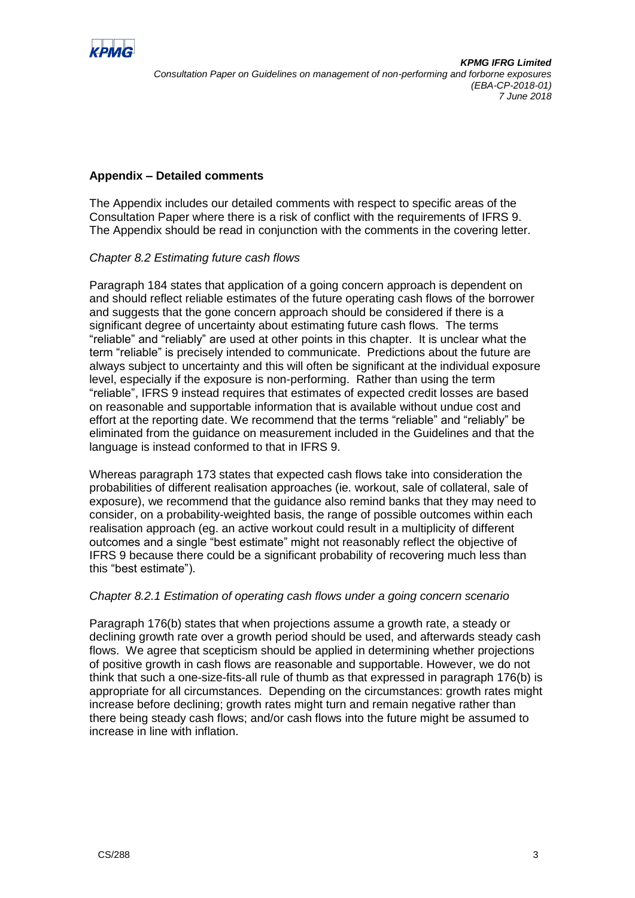

# **Appendix – Detailed comments**

The Appendix includes our detailed comments with respect to specific areas of the Consultation Paper where there is a risk of conflict with the requirements of IFRS 9. The Appendix should be read in conjunction with the comments in the covering letter.

### *Chapter 8.2 Estimating future cash flows*

Paragraph 184 states that application of a going concern approach is dependent on and should reflect reliable estimates of the future operating cash flows of the borrower and suggests that the gone concern approach should be considered if there is a significant degree of uncertainty about estimating future cash flows. The terms "reliable" and "reliably" are used at other points in this chapter. It is unclear what the term "reliable" is precisely intended to communicate. Predictions about the future are always subject to uncertainty and this will often be significant at the individual exposure level, especially if the exposure is non-performing. Rather than using the term "reliable", IFRS 9 instead requires that estimates of expected credit losses are based on reasonable and supportable information that is available without undue cost and effort at the reporting date. We recommend that the terms "reliable" and "reliably" be eliminated from the guidance on measurement included in the Guidelines and that the language is instead conformed to that in IFRS 9.

Whereas paragraph 173 states that expected cash flows take into consideration the probabilities of different realisation approaches (ie. workout, sale of collateral, sale of exposure), we recommend that the guidance also remind banks that they may need to consider, on a probability-weighted basis, the range of possible outcomes within each realisation approach (eg. an active workout could result in a multiplicity of different outcomes and a single "best estimate" might not reasonably reflect the objective of IFRS 9 because there could be a significant probability of recovering much less than this "best estimate").

### *Chapter 8.2.1 Estimation of operating cash flows under a going concern scenario*

Paragraph 176(b) states that when projections assume a growth rate, a steady or declining growth rate over a growth period should be used, and afterwards steady cash flows. We agree that scepticism should be applied in determining whether projections of positive growth in cash flows are reasonable and supportable. However, we do not think that such a one-size-fits-all rule of thumb as that expressed in paragraph 176(b) is appropriate for all circumstances. Depending on the circumstances: growth rates might increase before declining; growth rates might turn and remain negative rather than there being steady cash flows; and/or cash flows into the future might be assumed to increase in line with inflation.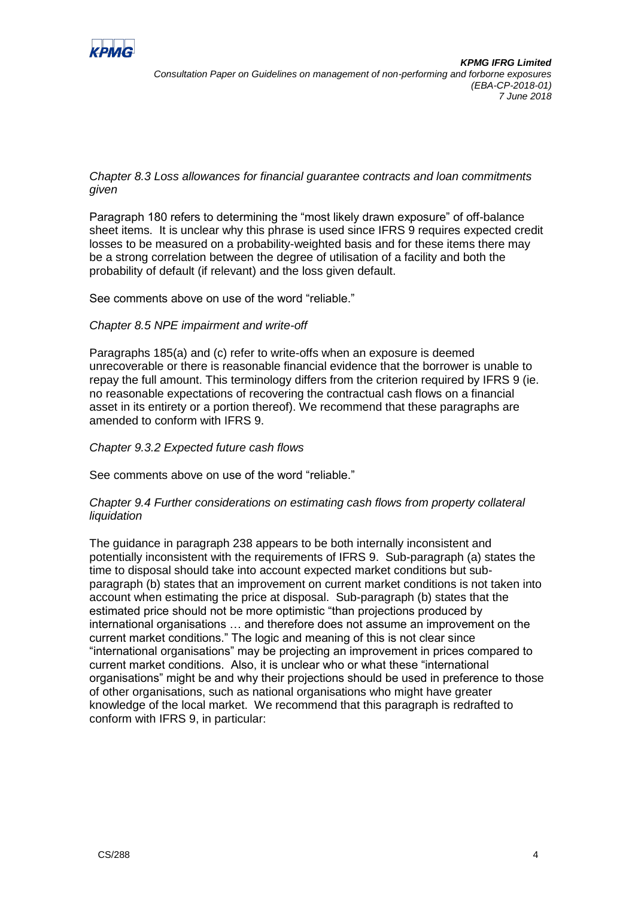

# *Chapter 8.3 Loss allowances for financial guarantee contracts and loan commitments given*

Paragraph 180 refers to determining the "most likely drawn exposure" of off-balance sheet items. It is unclear why this phrase is used since IFRS 9 requires expected credit losses to be measured on a probability-weighted basis and for these items there may be a strong correlation between the degree of utilisation of a facility and both the probability of default (if relevant) and the loss given default.

See comments above on use of the word "reliable."

## *Chapter 8.5 NPE impairment and write-off*

Paragraphs 185(a) and (c) refer to write-offs when an exposure is deemed unrecoverable or there is reasonable financial evidence that the borrower is unable to repay the full amount. This terminology differs from the criterion required by IFRS 9 (ie. no reasonable expectations of recovering the contractual cash flows on a financial asset in its entirety or a portion thereof). We recommend that these paragraphs are amended to conform with IFRS 9.

## *Chapter 9.3.2 Expected future cash flows*

See comments above on use of the word "reliable."

## *Chapter 9.4 Further considerations on estimating cash flows from property collateral liquidation*

The guidance in paragraph 238 appears to be both internally inconsistent and potentially inconsistent with the requirements of IFRS 9. Sub-paragraph (a) states the time to disposal should take into account expected market conditions but subparagraph (b) states that an improvement on current market conditions is not taken into account when estimating the price at disposal. Sub-paragraph (b) states that the estimated price should not be more optimistic "than projections produced by international organisations … and therefore does not assume an improvement on the current market conditions." The logic and meaning of this is not clear since "international organisations" may be projecting an improvement in prices compared to current market conditions. Also, it is unclear who or what these "international organisations" might be and why their projections should be used in preference to those of other organisations, such as national organisations who might have greater knowledge of the local market. We recommend that this paragraph is redrafted to conform with IFRS 9, in particular: